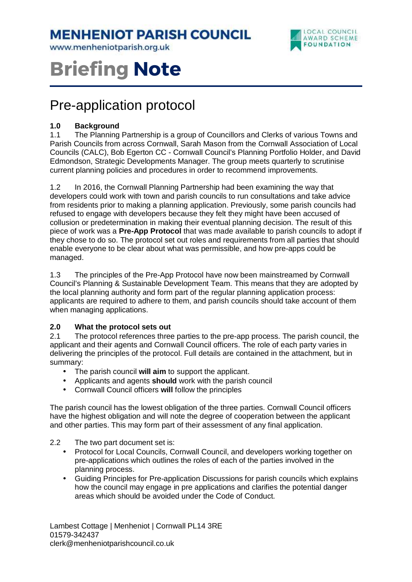# **MENHENIOT PARISH COUNCIL**

www.menheniotparish.org.uk



# **Briefing Note**

# Pre-application protocol

#### **1.0 Background**

1.1 The Planning Partnership is a group of Councillors and Clerks of various Towns and Parish Councils from across Cornwall, Sarah Mason from the Cornwall Association of Local Councils (CALC), Bob Egerton CC - Cornwall Council's Planning Portfolio Holder, and David Edmondson, Strategic Developments Manager. The group meets quarterly to scrutinise current planning policies and procedures in order to recommend improvements.

1.2 In 2016, the Cornwall Planning Partnership had been examining the way that developers could work with town and parish councils to run consultations and take advice from residents prior to making a planning application. Previously, some parish councils had refused to engage with developers because they felt they might have been accused of collusion or predetermination in making their eventual planning decision. The result of this piece of work was a **Pre-App Protocol** that was made available to parish councils to adopt if they chose to do so. The protocol set out roles and requirements from all parties that should enable everyone to be clear about what was permissible, and how pre-apps could be managed.

1.3 The principles of the Pre-App Protocol have now been mainstreamed by Cornwall Council's Planning & Sustainable Development Team. This means that they are adopted by the local planning authority and form part of the regular planning application process: applicants are required to adhere to them, and parish councils should take account of them when managing applications.

#### **2.0 What the protocol sets out**

2.1 The protocol references three parties to the pre-app process. The parish council, the applicant and their agents and Cornwall Council officers. The role of each party varies in delivering the principles of the protocol. Full details are contained in the attachment, but in summary:

- The parish council **will aim** to support the applicant.
- Applicants and agents **should** work with the parish council
- Cornwall Council officers **will** follow the principles

The parish council has the lowest obligation of the three parties. Cornwall Council officers have the highest obligation and will note the degree of cooperation between the applicant and other parties. This may form part of their assessment of any final application.

- 2.2 The two part document set is:
	- Protocol for Local Councils, Cornwall Council, and developers working together on pre-applications which outlines the roles of each of the parties involved in the planning process.
	- Guiding Principles for Pre-application Discussions for parish councils which explains how the council may engage in pre applications and clarifies the potential danger areas which should be avoided under the Code of Conduct.